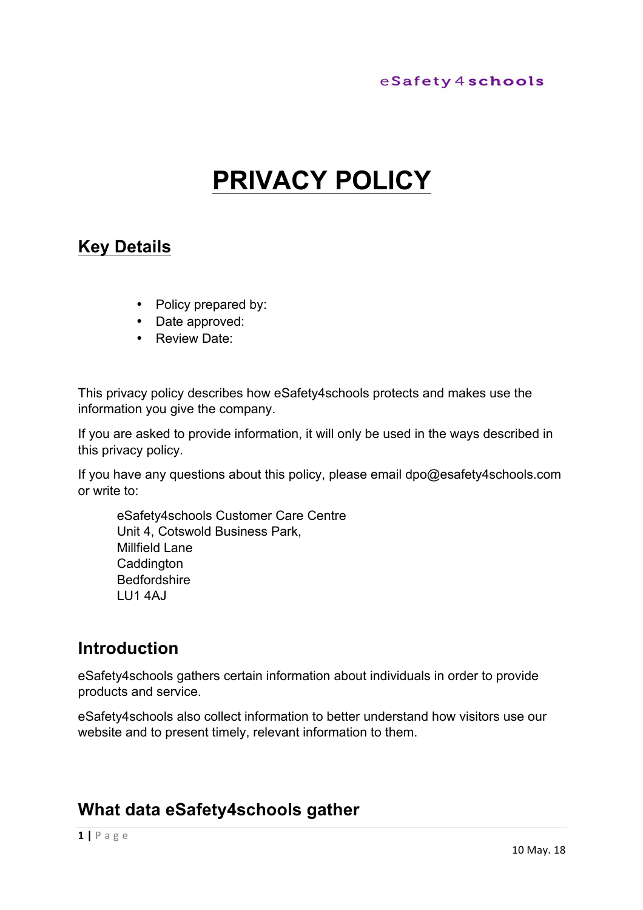# **PRIVACY POLICY**

## **Key Details**

- Policy prepared by:
- Date approved:
- Review Date:

This privacy policy describes how eSafety4schools protects and makes use the information you give the company.

If you are asked to provide information, it will only be used in the ways described in this privacy policy.

If you have any questions about this policy, please email dpo@esafety4schools.com or write to:

eSafety4schools Customer Care Centre Unit 4, Cotswold Business Park, Millfield Lane **Caddington** Bedfordshire LU1 4AJ

## **Introduction**

eSafety4schools gathers certain information about individuals in order to provide products and service.

eSafety4schools also collect information to better understand how visitors use our website and to present timely, relevant information to them.

## **What data eSafety4schools gather**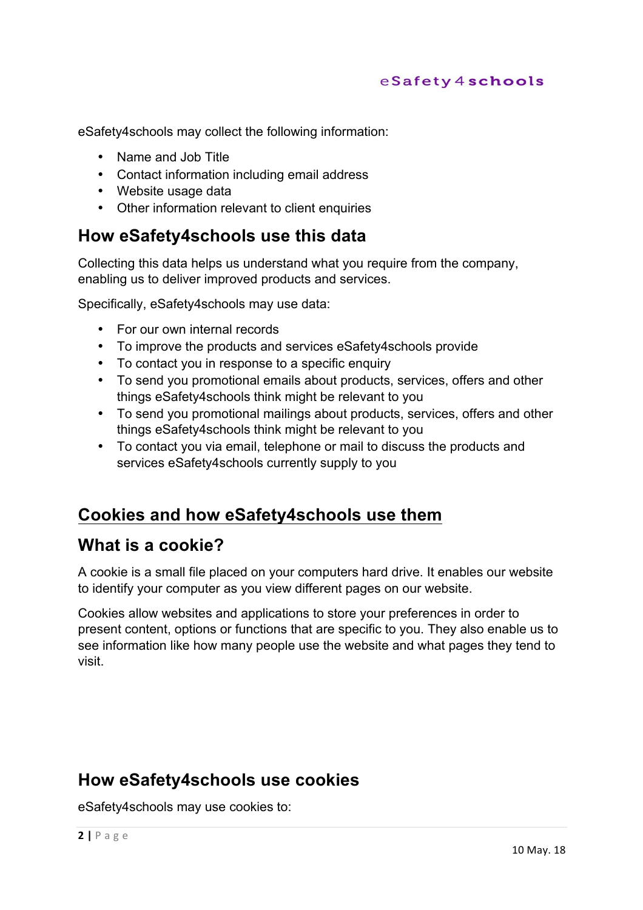eSafety4schools may collect the following information:

- Name and Job Title
- Contact information including email address
- Website usage data
- Other information relevant to client enquiries

## **How eSafety4schools use this data**

Collecting this data helps us understand what you require from the company, enabling us to deliver improved products and services.

Specifically, eSafety4schools may use data:

- For our own internal records
- To improve the products and services eSafety4schools provide
- To contact you in response to a specific enquiry
- To send you promotional emails about products, services, offers and other things eSafety4schools think might be relevant to you
- To send you promotional mailings about products, services, offers and other things eSafety4schools think might be relevant to you
- To contact you via email, telephone or mail to discuss the products and services eSafety4schools currently supply to you

## **Cookies and how eSafety4schools use them**

### **What is a cookie?**

A cookie is a small file placed on your computers hard drive. It enables our website to identify your computer as you view different pages on our website.

Cookies allow websites and applications to store your preferences in order to present content, options or functions that are specific to you. They also enable us to see information like how many people use the website and what pages they tend to visit.

## **How eSafety4schools use cookies**

eSafety4schools may use cookies to: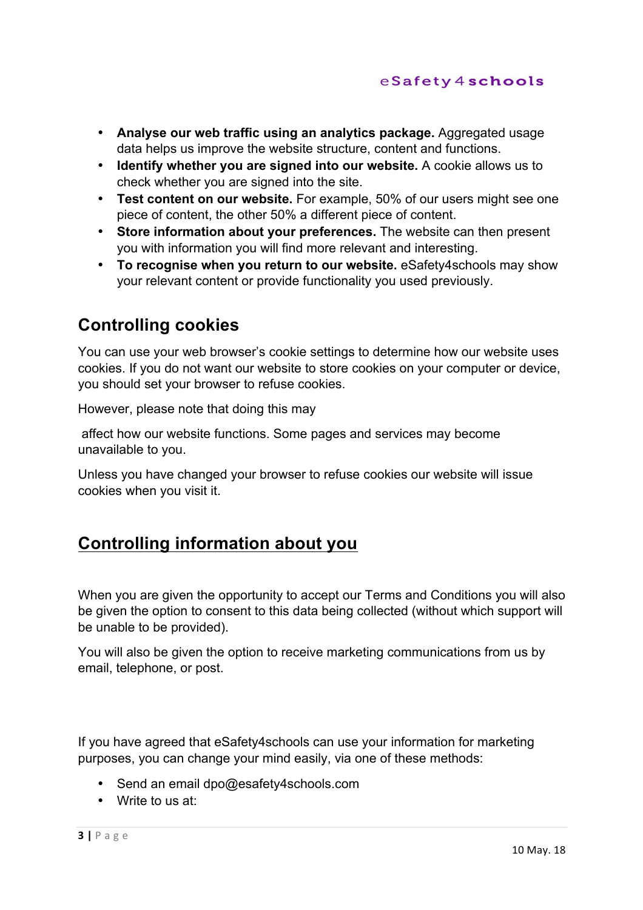- **Analyse our web traffic using an analytics package.** Aggregated usage data helps us improve the website structure, content and functions.
- **Identify whether you are signed into our website.** A cookie allows us to check whether you are signed into the site.
- **Test content on our website.** For example, 50% of our users might see one piece of content, the other 50% a different piece of content.
- **Store information about your preferences.** The website can then present you with information you will find more relevant and interesting.
- **To recognise when you return to our website.** eSafety4schools may show your relevant content or provide functionality you used previously.

## **Controlling cookies**

You can use your web browser's cookie settings to determine how our website uses cookies. If you do not want our website to store cookies on your computer or device, you should set your browser to refuse cookies.

However, please note that doing this may

affect how our website functions. Some pages and services may become unavailable to you.

Unless you have changed your browser to refuse cookies our website will issue cookies when you visit it.

## **Controlling information about you**

When you are given the opportunity to accept our Terms and Conditions you will also be given the option to consent to this data being collected (without which support will be unable to be provided).

You will also be given the option to receive marketing communications from us by email, telephone, or post.

If you have agreed that eSafety4schools can use your information for marketing purposes, you can change your mind easily, via one of these methods:

- Send an email dpo@esafety4schools.com
- Write to us at: